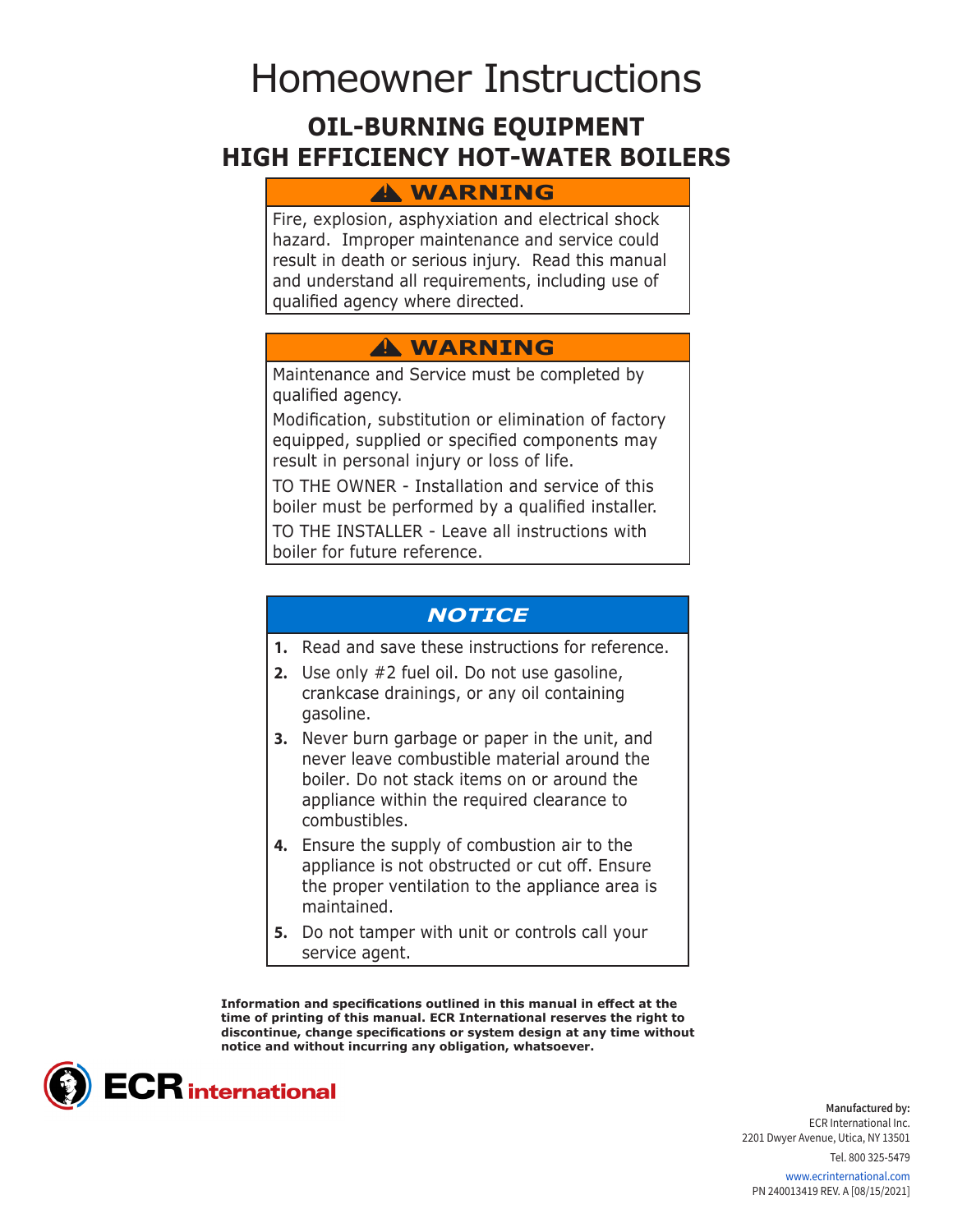# Homeowner Instructions

# **OIL-BURNING EQUIPMENT HIGH EFFICIENCY HOT-WATER BOILERS**

## **WARNING !**

Fire, explosion, asphyxiation and electrical shock hazard. Improper maintenance and service could result in death or serious injury. Read this manual and understand all requirements, including use of qualified agency where directed.

# **WARNING !**

Maintenance and Service must be completed by qualified agency.

Modification, substitution or elimination of factory equipped, supplied or specified components may result in personal injury or loss of life.

TO THE OWNER - Installation and service of this boiler must be performed by a qualified installer. TO THE INSTALLER - Leave all instructions with

boiler for future reference.

## *NOTICE*

- **1.** Read and save these instructions for reference.
- **2.** Use only #2 fuel oil. Do not use gasoline, crankcase drainings, or any oil containing gasoline.
- **3.** Never burn garbage or paper in the unit, and never leave combustible material around the boiler. Do not stack items on or around the appliance within the required clearance to combustibles.
- **4.** Ensure the supply of combustion air to the appliance is not obstructed or cut off. Ensure the proper ventilation to the appliance area is maintained.
- **5.** Do not tamper with unit or controls call your service agent.

**Information and specifications outlined in this manual in effect at the time of printing of this manual. ECR International reserves the right to discontinue, change specifications or system design at any time without notice and without incurring any obligation, whatsoever.**



**Manufactured by:** ECR International Inc. 2201 Dwyer Avenue, Utica, NY 13501

Tel. 800 325-5479

www.ecrinternational.com PN 240013419 REV. A [08/15/2021]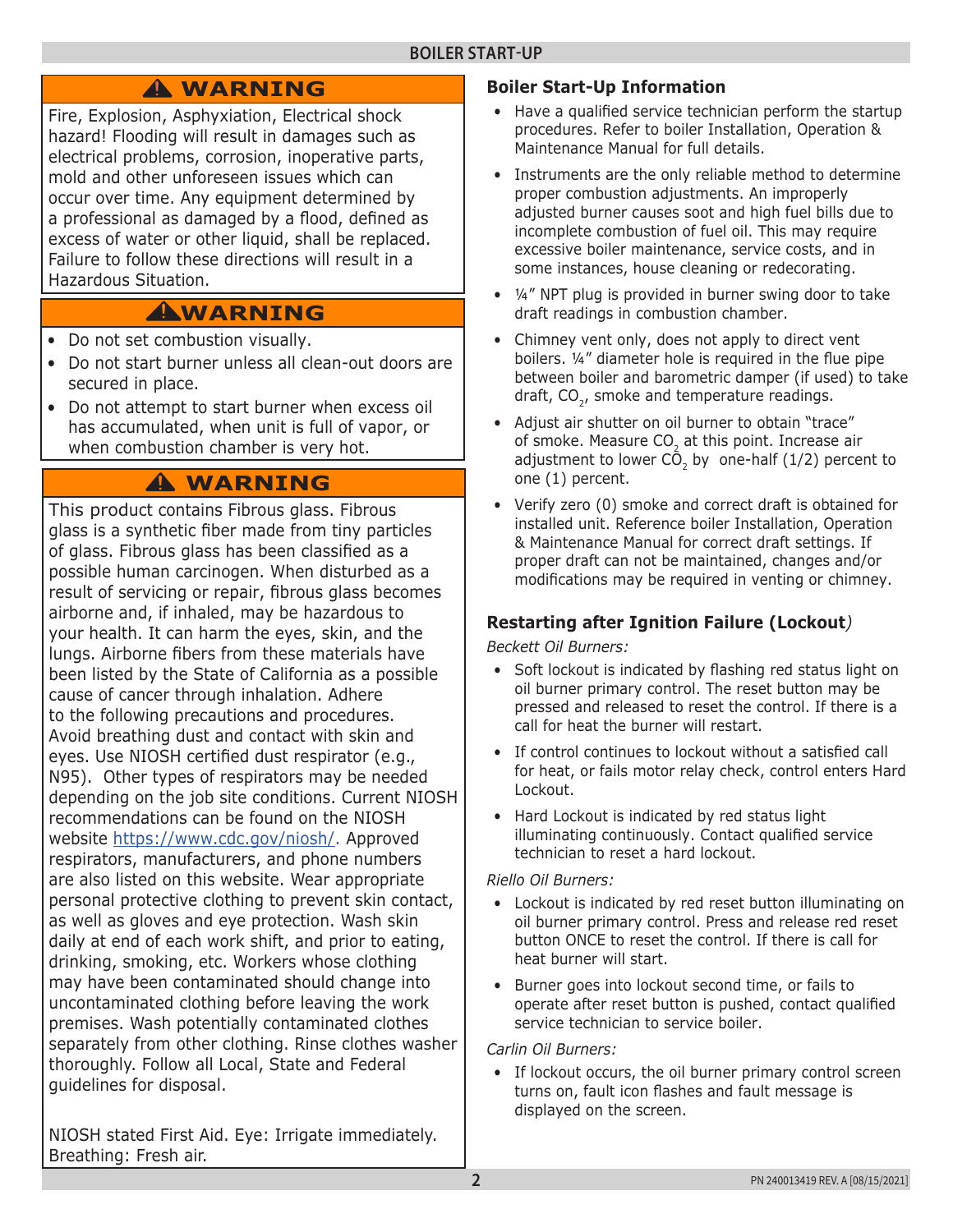# **WARNING !**

Fire, Explosion, Asphyxiation, Electrical shock hazard! Flooding will result in damages such as electrical problems, corrosion, inoperative parts, mold and other unforeseen issues which can occur over time. Any equipment determined by a professional as damaged by a flood, defined as excess of water or other liquid, shall be replaced. Failure to follow these directions will result in a Hazardous Situation.

# **WARNING !**

- Do not set combustion visually.
- Do not start burner unless all clean-out doors are secured in place.
- Do not attempt to start burner when excess oil has accumulated, when unit is full of vapor, or when combustion chamber is very hot.

# **WARNING !**

This product contains Fibrous glass. Fibrous glass is a synthetic fiber made from tiny particles of glass. Fibrous glass has been classified as a possible human carcinogen. When disturbed as a result of servicing or repair, fibrous glass becomes airborne and, if inhaled, may be hazardous to your health. It can harm the eyes, skin, and the lungs. Airborne fibers from these materials have been listed by the State of California as a possible cause of cancer through inhalation. Adhere to the following precautions and procedures. Avoid breathing dust and contact with skin and eyes. Use NIOSH certified dust respirator (e.g., N95). Other types of respirators may be needed depending on the job site conditions. Current NIOSH recommendations can be found on the NIOSH website https://www.cdc.gov/niosh/. Approved respirators, manufacturers, and phone numbers are also listed on this website. Wear appropriate personal protective clothing to prevent skin contact, as well as gloves and eye protection. Wash skin daily at end of each work shift, and prior to eating, drinking, smoking, etc. Workers whose clothing may have been contaminated should change into uncontaminated clothing before leaving the work premises. Wash potentially contaminated clothes separately from other clothing. Rinse clothes washer thoroughly. Follow all Local, State and Federal guidelines for disposal.

NIOSH stated First Aid. Eye: Irrigate immediately. Breathing: Fresh air.

## **Boiler Start-Up Information**

- Have a qualified service technician perform the startup procedures. Refer to boiler Installation, Operation & Maintenance Manual for full details.
- Instruments are the only reliable method to determine proper combustion adjustments. An improperly adjusted burner causes soot and high fuel bills due to incomplete combustion of fuel oil. This may require excessive boiler maintenance, service costs, and in some instances, house cleaning or redecorating.
- ¼" NPT plug is provided in burner swing door to take draft readings in combustion chamber.
- Chimney vent only, does not apply to direct vent boilers. ¼" diameter hole is required in the flue pipe between boiler and barometric damper (if used) to take draft,  $CO<sub>2</sub>$ , smoke and temperature readings.
- Adjust air shutter on oil burner to obtain "trace" of smoke. Measure CO<sub>2</sub> at this point. Increase air adjustment to lower  $\overline{CO}$ , by one-half (1/2) percent to one (1) percent.
- Verify zero (0) smoke and correct draft is obtained for installed unit. Reference boiler Installation, Operation & Maintenance Manual for correct draft settings. If proper draft can not be maintained, changes and/or modifications may be required in venting or chimney.

## **Restarting after Ignition Failure (Lockout***)*

*Beckett Oil Burners:*

- Soft lockout is indicated by flashing red status light on oil burner primary control. The reset button may be pressed and released to reset the control. If there is a call for heat the burner will restart.
- If control continues to lockout without a satisfied call for heat, or fails motor relay check, control enters Hard Lockout.
- Hard Lockout is indicated by red status light illuminating continuously. Contact qualified service technician to reset a hard lockout.

#### *Riello Oil Burners:*

- Lockout is indicated by red reset button illuminating on oil burner primary control. Press and release red reset button ONCE to reset the control. If there is call for heat burner will start.
- Burner goes into lockout second time, or fails to operate after reset button is pushed, contact qualified service technician to service boiler.

*Carlin Oil Burners:*

• If lockout occurs, the oil burner primary control screen turns on, fault icon flashes and fault message is displayed on the screen.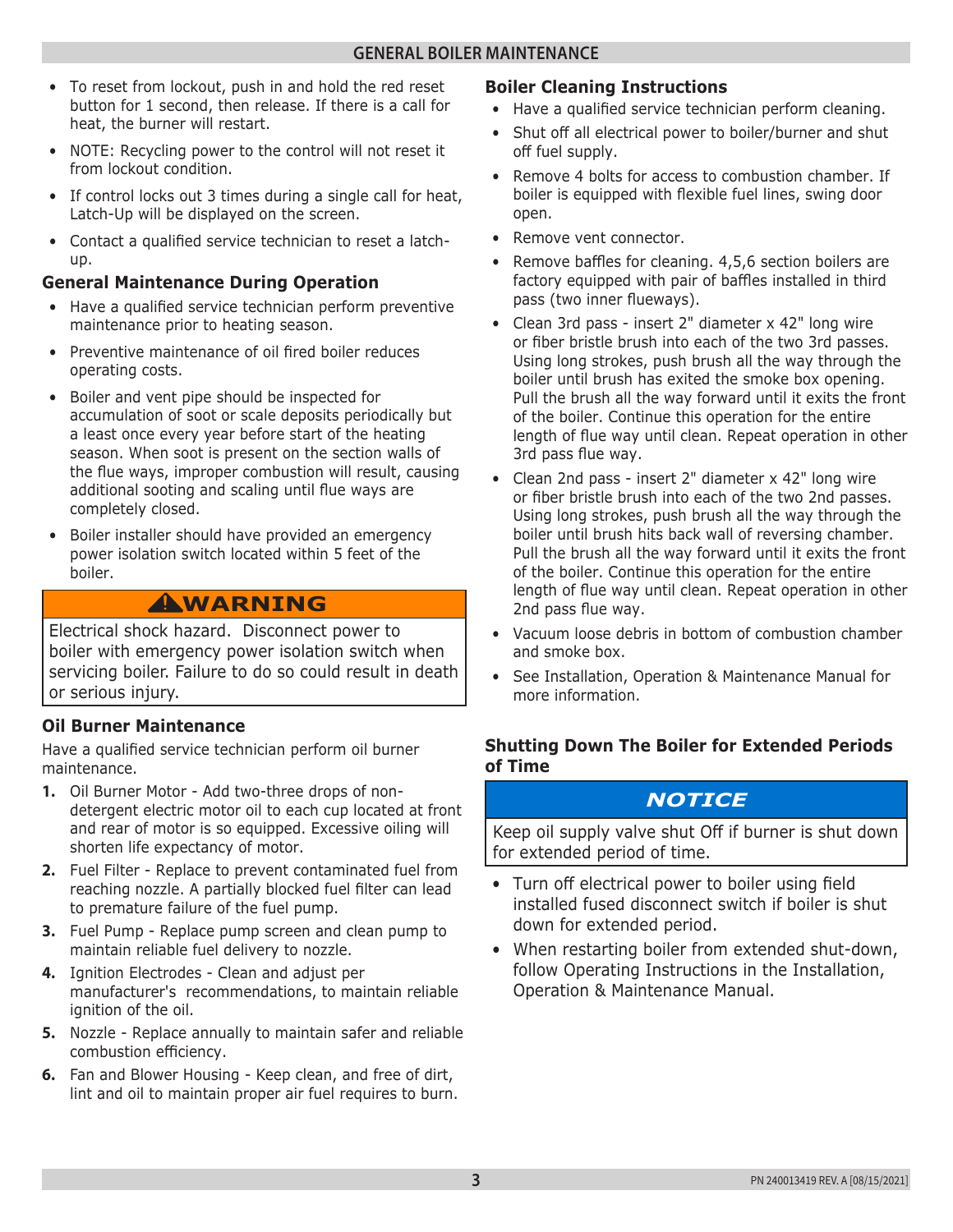- To reset from lockout, push in and hold the red reset button for 1 second, then release. If there is a call for heat, the burner will restart.
- NOTE: Recycling power to the control will not reset it from lockout condition.
- If control locks out 3 times during a single call for heat, Latch-Up will be displayed on the screen.
- Contact a qualified service technician to reset a latchup.

### **General Maintenance During Operation**

- Have a qualified service technician perform preventive maintenance prior to heating season.
- Preventive maintenance of oil fired boiler reduces operating costs.
- Boiler and vent pipe should be inspected for accumulation of soot or scale deposits periodically but a least once every year before start of the heating season. When soot is present on the section walls of the flue ways, improper combustion will result, causing additional sooting and scaling until flue ways are completely closed.
- Boiler installer should have provided an emergency power isolation switch located within 5 feet of the boiler.

## **WARNING !**

Electrical shock hazard. Disconnect power to boiler with emergency power isolation switch when servicing boiler. Failure to do so could result in death or serious injury.

#### **Oil Burner Maintenance**

Have a qualified service technician perform oil burner maintenance.

- **1.** Oil Burner Motor Add two-three drops of nondetergent electric motor oil to each cup located at front and rear of motor is so equipped. Excessive oiling will shorten life expectancy of motor.
- **2.** Fuel Filter Replace to prevent contaminated fuel from reaching nozzle. A partially blocked fuel filter can lead to premature failure of the fuel pump.
- **3.** Fuel Pump Replace pump screen and clean pump to maintain reliable fuel delivery to nozzle.
- **4.** Ignition Electrodes Clean and adjust per manufacturer's recommendations, to maintain reliable ignition of the oil.
- **5.** Nozzle Replace annually to maintain safer and reliable combustion efficiency.
- **6.** Fan and Blower Housing Keep clean, and free of dirt, lint and oil to maintain proper air fuel requires to burn.

### **Boiler Cleaning Instructions**

- Have a qualified service technician perform cleaning.
- Shut off all electrical power to boiler/burner and shut off fuel supply.
- Remove 4 bolts for access to combustion chamber. If boiler is equipped with flexible fuel lines, swing door open.
- Remove vent connector.
- Remove baffles for cleaning. 4,5,6 section boilers are factory equipped with pair of baffles installed in third pass (two inner flueways).
- Clean 3rd pass insert 2" diameter x 42" long wire or fiber bristle brush into each of the two 3rd passes. Using long strokes, push brush all the way through the boiler until brush has exited the smoke box opening. Pull the brush all the way forward until it exits the front of the boiler. Continue this operation for the entire length of flue way until clean. Repeat operation in other 3rd pass flue way.
- Clean 2nd pass insert 2" diameter x 42" long wire or fiber bristle brush into each of the two 2nd passes. Using long strokes, push brush all the way through the boiler until brush hits back wall of reversing chamber. Pull the brush all the way forward until it exits the front of the boiler. Continue this operation for the entire length of flue way until clean. Repeat operation in other 2nd pass flue way.
- Vacuum loose debris in bottom of combustion chamber and smoke box.
- See Installation, Operation & Maintenance Manual for more information.

#### **Shutting Down The Boiler for Extended Periods of Time**

## *NOTICE*

Keep oil supply valve shut Off if burner is shut down for extended period of time.

- Turn off electrical power to boiler using field installed fused disconnect switch if boiler is shut down for extended period.
- When restarting boiler from extended shut-down, follow Operating Instructions in the Installation, Operation & Maintenance Manual.